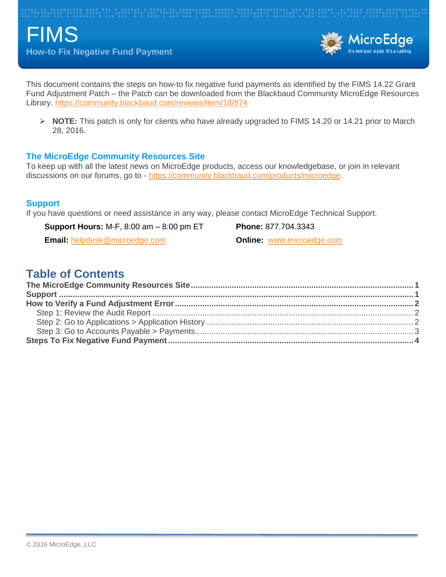**FIMS How-to Fix Negative Fund Payment**



This document contains the steps on how-to fix negative fund payments as identified by the FIMS 14.22 Grant Fund Adjustment Patch – the Patch can be downloaded from the Blackbaud Community MicroEdge Resources Library.<https://community.blackbaud.com/reviews/item/18/874>

 **NOTE:** This patch is only for clients who have already upgraded to FIMS 14.20 or 14.21 prior to March 28, 2016.

### <span id="page-0-0"></span>**The MicroEdge Community Resources Site**

To keep up with all the latest news on MicroEdge products, access our knowledgebase, or join in relevant discussions on our forums, go to - [https://community.blackbaud.com/products/microedge.](https://community.blackbaud.com/products/microedge)

### <span id="page-0-1"></span>**Support**

If you have questions or need assistance in any way, please contact MicroEdge Technical Support.

**Support Hours:** M-F, 8:00 am – 8:00 pm ET **Phone:** 877.704.3343

**Email:** [helpdesk@microedge.com](mailto:helpdesk@microedge.com) **Online:** [www.microedge.com](http://www.microedge.com/)

# **Table of Contents**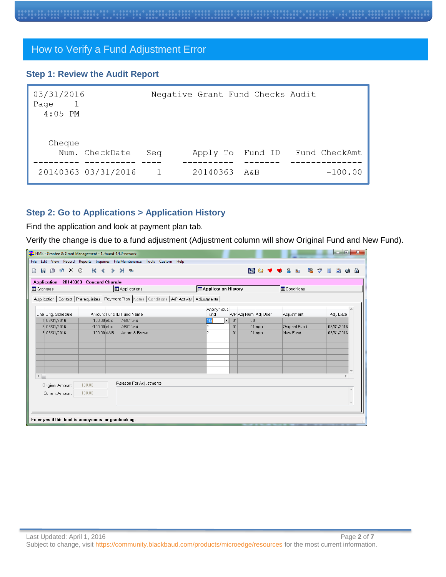# <span id="page-1-0"></span>How to Verify a Fund Adjustment Error

# <span id="page-1-1"></span>**Step 1: Review the Audit Report**

| 03/31/2016<br>1<br>Page<br>$4:05$ PM |                                         |     | Negative Grant Fund Checks Audit |                            |
|--------------------------------------|-----------------------------------------|-----|----------------------------------|----------------------------|
| Cheque                               | Num. CheckDate<br>20140363 03/31/2016 1 | Seq | Apply To Fund ID<br>20140363 A&B | Fund CheckAmt<br>$-100.00$ |

# <span id="page-1-2"></span>**Step 2: Go to Applications > Application History**

Find the application and look at payment plan tab.

Verify the change is due to a fund adjustment (Adjustment column will show Original Fund and New Fund).

| FIMS - Grantee & Grant Management - 1. found-14.2-nowork                                               |                                    |                       |                                                 | o o<br>$\mathbf{x}$ |  |
|--------------------------------------------------------------------------------------------------------|------------------------------------|-----------------------|-------------------------------------------------|---------------------|--|
| File Edit View Record Reports Inquiries File Maintenance Tools Custom<br>Help                          |                                    |                       |                                                 |                     |  |
| B X O<br>$K < \rightarrow$<br>$M$ $\infty$<br>ы<br>囹<br>n                                              |                                    | 频源<br>◶               | 38<br><b>g</b><br>$8 \equiv$<br>$\frac{ABG}{2}$ |                     |  |
| 20140363 Concord Chorale<br><b>Application</b>                                                         |                                    |                       |                                                 |                     |  |
| Applications<br><b>E</b> Grantees                                                                      | <b>B</b> Application History       |                       | <b>ED</b> Conditions                            |                     |  |
| Application   Contact   Prerequisites   Payment Plan   Notes   Conditions   A/P Activity   Adjustments |                                    |                       |                                                 |                     |  |
|                                                                                                        | Anonymous                          |                       |                                                 |                     |  |
| Line Orig. Schedule<br>Amount Fund ID Fund Name                                                        | Fund                               | A/P Adj Num. Adj User | Adjustment                                      | Adj. Date           |  |
| 1 03/31/2016<br>$100.00$ abc<br>ABC fund                                                               | $\boxed{\blacktriangledown}$<br>01 | 00                    |                                                 |                     |  |
| 2 03/31/2016<br>ABC fund<br>$-100.00$ abc                                                              | 01                                 | $01$ <sub>npo</sub>   | Original Fund                                   | 03/31/2016          |  |
| 3 03/31/2016<br>100.00 A&B<br>Adam & Brown                                                             | 01                                 | $01$ <sub>npo</sub>   | New Fund                                        | 03/31/2016          |  |
|                                                                                                        |                                    |                       |                                                 |                     |  |
|                                                                                                        |                                    |                       |                                                 |                     |  |
|                                                                                                        |                                    |                       |                                                 |                     |  |
|                                                                                                        |                                    |                       |                                                 |                     |  |
|                                                                                                        |                                    |                       |                                                 |                     |  |
|                                                                                                        |                                    |                       |                                                 |                     |  |
| $\leftarrow$                                                                                           |                                    |                       |                                                 |                     |  |
| Reason For Adjustments<br>100.00<br>Original Amount:                                                   |                                    |                       |                                                 |                     |  |
| 100.00<br>Current Amount:                                                                              |                                    |                       |                                                 | $\blacktriangle$    |  |
|                                                                                                        |                                    |                       |                                                 |                     |  |
|                                                                                                        |                                    |                       |                                                 | $\overline{\nabla}$ |  |
|                                                                                                        |                                    |                       |                                                 |                     |  |
| Enter yes if this fund is anonymous for grantmaking.                                                   |                                    |                       |                                                 |                     |  |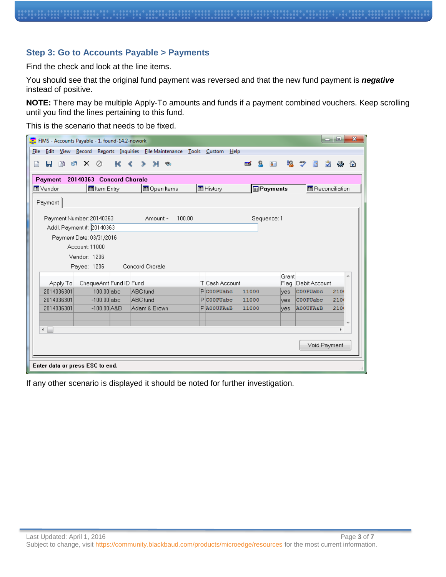# <span id="page-2-0"></span>**Step 3: Go to Accounts Payable > Payments**

Find the check and look at the line items.

You should see that the original fund payment was reversed and that the new fund payment is *negative* instead of positive.

**NOTE:** There may be multiple Apply-To amounts and funds if a payment combined vouchers. Keep scrolling until you find the lines pertaining to this fund.

This is the scenario that needs to be fixed.

| FIMS - Accounts Payable - 1. found-14.2-nowork                                  |                                   |                  |                 |               |                       | ▣    | $\mathbf{x}$ |
|---------------------------------------------------------------------------------|-----------------------------------|------------------|-----------------|---------------|-----------------------|------|--------------|
| Edit View Record Reports Inquiries File Maintenance Tools Custom<br><b>File</b> |                                   | Help             |                 |               |                       |      |              |
| ⊠ X<br>Ø<br>囹<br>ы<br>۵Ĭ                                                        | $\kappa$ $\kappa$<br>$\theta$ K < |                  | я<br>×<br>$3 =$ | EQ.           | $\tilde{\mathcal{S}}$ |      |              |
| 20140363 Concord Chorale<br>Payment                                             |                                   |                  |                 |               |                       |      |              |
| <b>国Vendor</b><br><b>III</b> Item Entry                                         | Open Items                        | <b>E</b> History | <b>Payments</b> |               | Reconciliation        |      |              |
| Payment                                                                         |                                   |                  |                 |               |                       |      |              |
| Payment Number: 20140363                                                        | 100.00<br>Amount: -               |                  | Sequence: 1     |               |                       |      |              |
| Addl. Payment #: 20140363                                                       |                                   |                  |                 |               |                       |      |              |
| Payment Date: 03/31/2016                                                        |                                   |                  |                 |               |                       |      |              |
| Account: 11000                                                                  |                                   |                  |                 |               |                       |      |              |
| Vendor: 1206                                                                    |                                   |                  |                 |               |                       |      |              |
| Payee: 1206                                                                     | Concord Chorale                   |                  |                 |               |                       |      |              |
| ChequeAmt Fund ID Fund<br>Apply To                                              |                                   | T Cash Account   |                 | Grant<br>Flaq | Debit Account         |      | A            |
| 2014036301<br>$100.00$ abc                                                      | ABC fund                          | PC00PUabc        | 11000           | lves.         | C00PUabc              | 210( |              |
| $-100.00$ abc<br>2014036301                                                     | ABC fund                          | $P$ C00PUabc     | 11000           | lves.         | C00PUabc              | 2100 |              |
| 2014036301<br>$-100.00$ A&B                                                     | Adam & Brown                      | $P$ A00UFA&B     | 11000           | lves.         | A00UFA&B              | 210  |              |
|                                                                                 |                                   |                  |                 |               |                       |      |              |
| $\leftarrow$                                                                    |                                   |                  |                 |               |                       |      |              |
|                                                                                 |                                   |                  |                 |               | Void Payment          |      |              |
| Enter data or press ESC to end.                                                 |                                   |                  |                 |               |                       |      |              |

If any other scenario is displayed it should be noted for further investigation.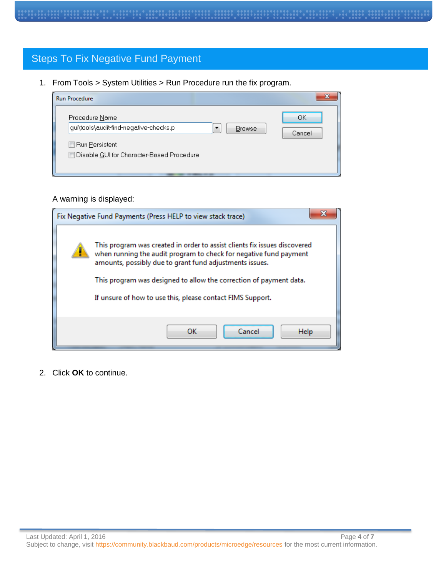# <span id="page-3-0"></span>Steps To Fix Negative Fund Payment

1. From Tools > System Utilities > Run Procedure run the fix program.

| <b>Run Procedure</b>                                                                                                                                                               |              |
|------------------------------------------------------------------------------------------------------------------------------------------------------------------------------------|--------------|
| Procedure Name<br>gui\tools\audit-find-negative-checks.p<br><b>Browse</b><br>$\overline{\phantom{a}}$<br>$\Box$ Run Persistent<br><b>Disable GUI for Character-Based Procedure</b> | ОК<br>Cancel |
|                                                                                                                                                                                    |              |

### A warning is displayed:

| Fix Negative Fund Payments (Press HELP to view stack trace)                                                                                                                                                                                                                                                                                   |
|-----------------------------------------------------------------------------------------------------------------------------------------------------------------------------------------------------------------------------------------------------------------------------------------------------------------------------------------------|
| This program was created in order to assist clients fix issues discovered<br>when running the audit program to check for negative fund payment<br>amounts, possibly due to grant fund adjustments issues.<br>This program was designed to allow the correction of payment data.<br>If unsure of how to use this, please contact FIMS Support. |
| ОК<br>Help<br>Cancel                                                                                                                                                                                                                                                                                                                          |

2. Click **OK** to continue.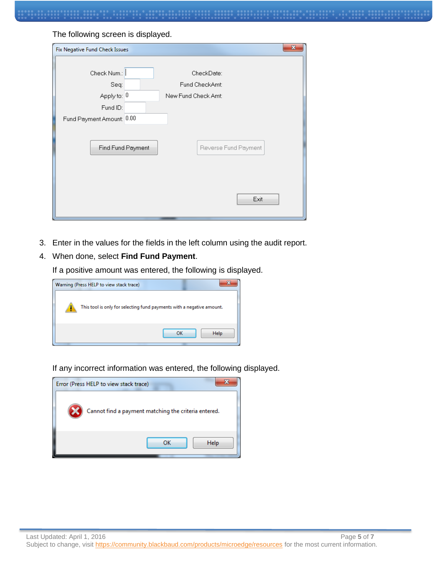### The following screen is displayed.

| Fix Negative Fund Check Issues                                              | $\mathbf{x}$                                        |
|-----------------------------------------------------------------------------|-----------------------------------------------------|
| Check Num.:<br>Seq:<br>Apply to: 0<br>Fund ID:<br>Fund Payment Amount: 0.00 | CheckDate:<br>Fund CheckAmt:<br>New Fund Check Amt: |
| Find Fund Payment                                                           | Reverse Fund Payment<br>Exit                        |

- 3. Enter in the values for the fields in the left column using the audit report.
- 4. When done, select **Find Fund Payment**.

If a positive amount was entered, the following is displayed.

| Warning (Press HELP to view stack trace)                              |      |
|-----------------------------------------------------------------------|------|
| This tool is only for selecting fund payments with a negative amount. |      |
| OK                                                                    | Help |

If any incorrect information was entered, the following displayed.

| Error (Press HELP to view stack trace) |                                                      |
|----------------------------------------|------------------------------------------------------|
|                                        | Cannot find a payment matching the criteria entered. |
|                                        | Help<br>ок                                           |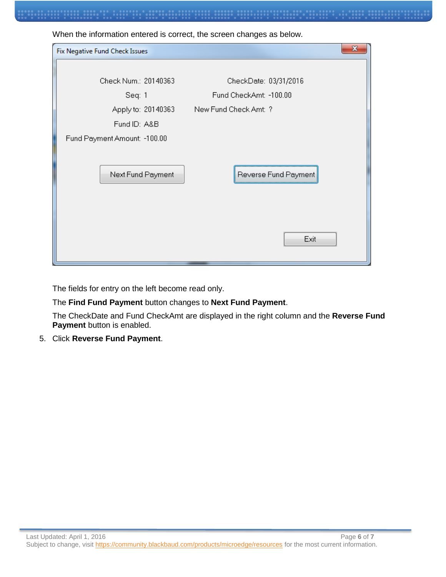| Fix Negative Fund Check Issues |                        |
|--------------------------------|------------------------|
| Check Num.: 20140363           | CheckDate: 03/31/2016  |
| Seq: 1                         | Fund CheckAmt: -100.00 |
| Apply to: 20140363             | New Fund Check Amt: ?  |
| Fund ID: A&B                   |                        |
| Fund Payment Amount: -100.00   |                        |
| Next Fund Payment              | Reverse Fund Payment   |
|                                |                        |
|                                |                        |
|                                |                        |
|                                | Exit                   |

The fields for entry on the left become read only.

The **Find Fund Payment** button changes to **Next Fund Payment**.

The CheckDate and Fund CheckAmt are displayed in the right column and the **Reverse Fund Payment** button is enabled.

5. Click **Reverse Fund Payment**.